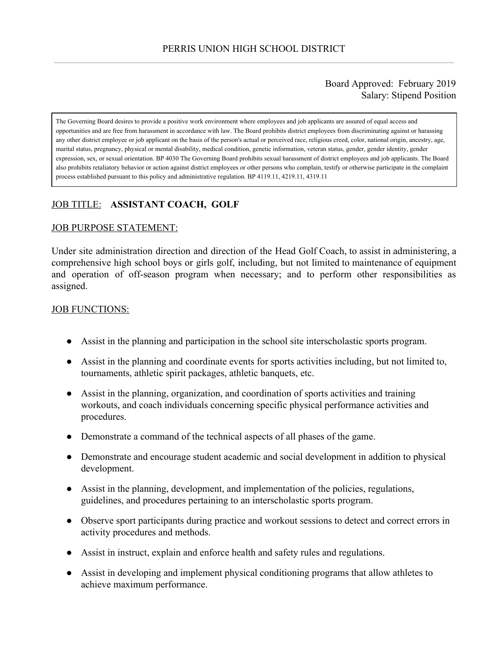### Board Approved: February 2019 Salary: Stipend Position

The Governing Board desires to provide a positive work environment where employees and job applicants are assured of equal access and opportunities and are free from harassment in accordance with law. The Board prohibits district employees from discriminating against or harassing any other district employee or job applicant on the basis of the person's actual or perceived race, religious creed, color, national origin, ancestry, age, marital status, pregnancy, physical or mental disability, medical condition, genetic information, veteran status, gender, gender identity, gender expression, sex, or sexual orientation. BP 4030 The Governing Board prohibits sexual harassment of district employees and job applicants. The Board also prohibits retaliatory behavior or action against district employees or other persons who complain, testify or otherwise participate in the complaint process established pursuant to this policy and administrative regulation. BP 4119.11, 4219.11, 4319.11

# JOB TITLE: **ASSISTANT COACH, GOLF**

#### JOB PURPOSE STATEMENT:

Under site administration direction and direction of the Head Golf Coach, to assist in administering, a comprehensive high school boys or girls golf, including, but not limited to maintenance of equipment and operation of off-season program when necessary; and to perform other responsibilities as assigned.

#### JOB FUNCTIONS:

- Assist in the planning and participation in the school site interscholastic sports program.
- Assist in the planning and coordinate events for sports activities including, but not limited to, tournaments, athletic spirit packages, athletic banquets, etc.
- Assist in the planning, organization, and coordination of sports activities and training workouts, and coach individuals concerning specific physical performance activities and procedures.
- Demonstrate a command of the technical aspects of all phases of the game.
- Demonstrate and encourage student academic and social development in addition to physical development.
- Assist in the planning, development, and implementation of the policies, regulations, guidelines, and procedures pertaining to an interscholastic sports program.
- Observe sport participants during practice and workout sessions to detect and correct errors in activity procedures and methods.
- Assist in instruct, explain and enforce health and safety rules and regulations.
- Assist in developing and implement physical conditioning programs that allow athletes to achieve maximum performance.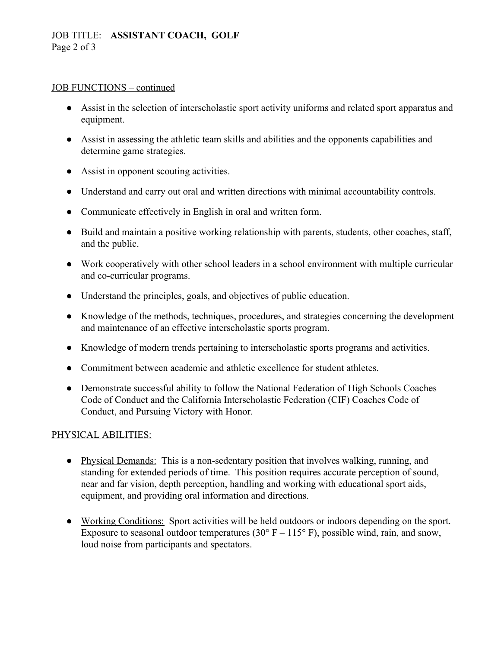## JOB TITLE: **ASSISTANT COACH, GOLF** Page 2 of 3

#### JOB FUNCTIONS – continued

- Assist in the selection of interscholastic sport activity uniforms and related sport apparatus and equipment.
- Assist in assessing the athletic team skills and abilities and the opponents capabilities and determine game strategies.
- Assist in opponent scouting activities.
- Understand and carry out oral and written directions with minimal accountability controls.
- Communicate effectively in English in oral and written form.
- Build and maintain a positive working relationship with parents, students, other coaches, staff, and the public.
- Work cooperatively with other school leaders in a school environment with multiple curricular and co-curricular programs.
- Understand the principles, goals, and objectives of public education.
- Knowledge of the methods, techniques, procedures, and strategies concerning the development and maintenance of an effective interscholastic sports program.
- Knowledge of modern trends pertaining to interscholastic sports programs and activities.
- Commitment between academic and athletic excellence for student athletes.
- Demonstrate successful ability to follow the National Federation of High Schools Coaches Code of Conduct and the California Interscholastic Federation (CIF) Coaches Code of Conduct, and Pursuing Victory with Honor.

#### PHYSICAL ABILITIES:

- Physical Demands: This is a non-sedentary position that involves walking, running, and standing for extended periods of time. This position requires accurate perception of sound, near and far vision, depth perception, handling and working with educational sport aids, equipment, and providing oral information and directions.
- Working Conditions: Sport activities will be held outdoors or indoors depending on the sport. Exposure to seasonal outdoor temperatures (30 $\degree$  F – 115 $\degree$  F), possible wind, rain, and snow, loud noise from participants and spectators.